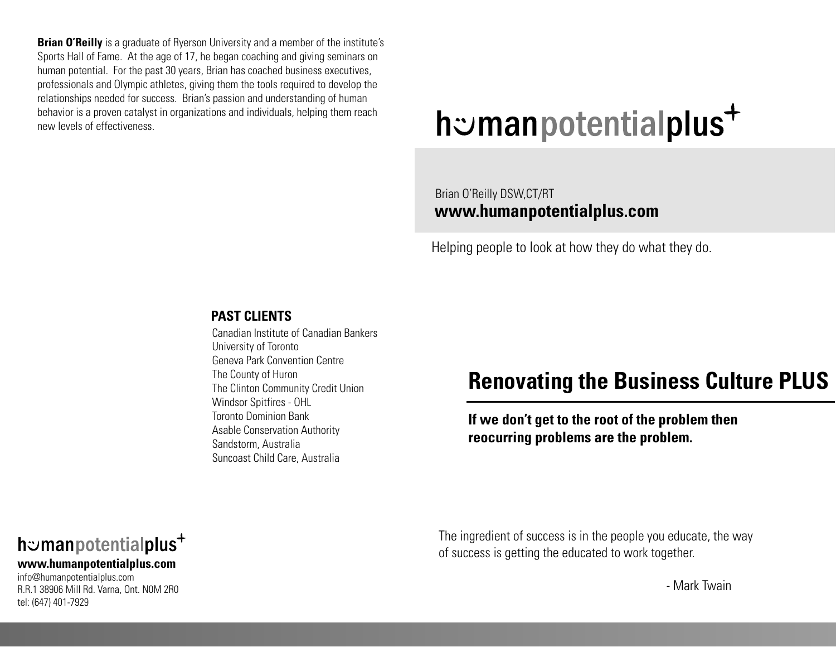**Brian O'Reilly** is a graduate of Ryerson University and a member of the institute's Sports Hall of Fame. At the age of 17, he began coaching and giving seminars on human potential. For the past 30 years, Brian has coached business executives, professionals and Olympic athletes, giving them the tools required to develop the relationships needed for success. Brian's passion and understanding of human behavior is a proven catalyst in organizations and individuals, helping them reach new levels of effectiveness

# h: manpotentialplus<sup>+</sup>

# Brian O'Reilly DSW,CT/RT www.humanpotentialplus.com

Helping people to look at how they do what they do.

#### **PAST CLIENTS**

Canadian Institute of Canadian Bankers University of Toronto Geneva Park Convention Centre The County of Huron The Clinton Community Credit Union Windsor Spitfires - OHL **Toronto Dominion Bank Asable Conservation Authority** Sandstorm, Australia Suncoast Child Care, Australia

# **Renovating the Business Culture PLUS**

If we don't get to the root of the problem then reocurring problems are the problem.

The ingredient of success is in the people you educate, the way of success is getting the educated to work together.

- Mark Twain

# h: manpotentialplus<sup>+</sup>

#### www.humanpotentialplus.com

info@humanpotentialplus.com R.R.1 38906 Mill Rd. Varna, Ont. NOM 2R0 tel: (647) 401-7929